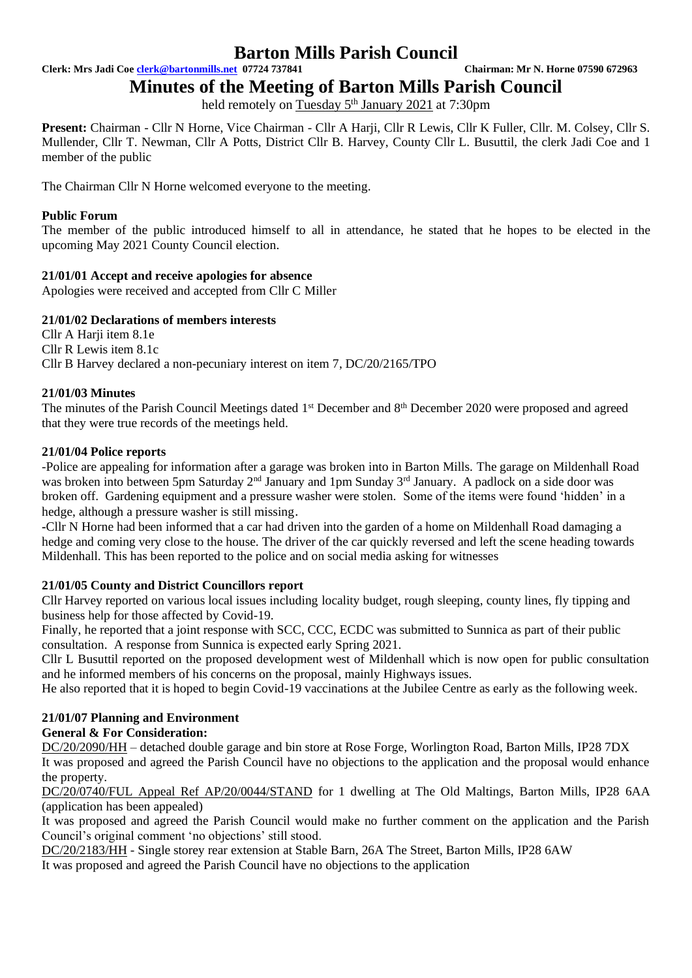**Clerk: Mrs Jadi Coe [clerk@bartonmills.net](mailto:clerk@bartonmills.net) 07724 737841 Chairman: Mr N. Horne 07590 672963**

**Minutes of the Meeting of Barton Mills Parish Council**

held remotely on Tuesday 5<sup>th</sup> January 2021 at 7:30pm

**Present:** Chairman - Cllr N Horne, Vice Chairman - Cllr A Harji, Cllr R Lewis, Cllr K Fuller, Cllr. M. Colsey, Cllr S. Mullender, Cllr T. Newman, Cllr A Potts, District Cllr B. Harvey, County Cllr L. Busuttil, the clerk Jadi Coe and 1 member of the public

The Chairman Cllr N Horne welcomed everyone to the meeting.

#### **Public Forum**

The member of the public introduced himself to all in attendance, he stated that he hopes to be elected in the upcoming May 2021 County Council election.

### **21/01/01 Accept and receive apologies for absence**

Apologies were received and accepted from Cllr C Miller

#### **21/01/02 Declarations of members interests**

Cllr A Harji item 8.1e Cllr R Lewis item 8.1c Cllr B Harvey declared a non-pecuniary interest on item 7, DC/20/2165/TPO

### **21/01/03 Minutes**

The minutes of the Parish Council Meetings dated 1<sup>st</sup> December and 8<sup>th</sup> December 2020 were proposed and agreed that they were true records of the meetings held.

#### **21/01/04 Police reports**

-Police are appealing for information after a garage was broken into in Barton Mills. The garage on Mildenhall Road was broken into between 5pm Saturday 2<sup>nd</sup> January and 1pm Sunday 3<sup>rd</sup> January. A padlock on a side door was broken off. Gardening equipment and a pressure washer were stolen. Some of the items were found 'hidden' in a hedge, although a pressure washer is still missing.

**-**Cllr N Horne had been informed that a car had driven into the garden of a home on Mildenhall Road damaging a hedge and coming very close to the house. The driver of the car quickly reversed and left the scene heading towards Mildenhall. This has been reported to the police and on social media asking for witnesses

#### **21/01/05 County and District Councillors report**

Cllr Harvey reported on various local issues including locality budget, rough sleeping, county lines, fly tipping and business help for those affected by Covid-19.

Finally, he reported that a joint response with SCC, CCC, ECDC was submitted to Sunnica as part of their public consultation. A response from Sunnica is expected early Spring 2021.

Cllr L Busuttil reported on the proposed development west of Mildenhall which is now open for public consultation and he informed members of his concerns on the proposal, mainly Highways issues.

He also reported that it is hoped to begin Covid-19 vaccinations at the Jubilee Centre as early as the following week.

# **21/01/07 Planning and Environment**

#### **General & For Consideration:**

DC/20/2090/HH – detached double garage and bin store at Rose Forge, Worlington Road, Barton Mills, IP28 7DX It was proposed and agreed the Parish Council have no objections to the application and the proposal would enhance the property.

DC/20/0740/FUL Appeal Ref AP/20/0044/STAND for 1 dwelling at The Old Maltings, Barton Mills, IP28 6AA (application has been appealed)

It was proposed and agreed the Parish Council would make no further comment on the application and the Parish Council's original comment 'no objections' still stood.

DC/20/2183/HH - Single storey rear extension at Stable Barn, 26A The Street, Barton Mills, IP28 6AW It was proposed and agreed the Parish Council have no objections to the application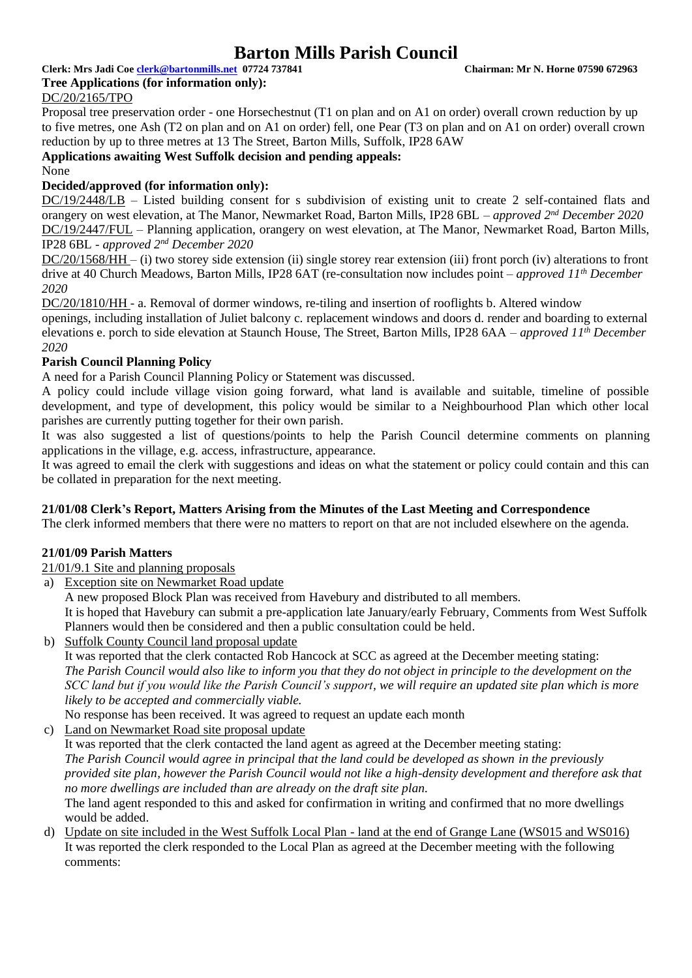**Clerk: Mrs Jadi Coe [clerk@bartonmills.net](mailto:clerk@bartonmills.net) 07724 737841 Chairman: Mr N. Horne 07590 672963 Tree Applications (for information only):**

# DC/20/2165/TPO

Proposal tree preservation order - one Horsechestnut (T1 on plan and on A1 on order) overall crown reduction by up to five metres, one Ash (T2 on plan and on A1 on order) fell, one Pear (T3 on plan and on A1 on order) overall crown reduction by up to three metres at 13 The Street, Barton Mills, Suffolk, IP28 6AW

**Applications awaiting West Suffolk decision and pending appeals:**

None

#### **Decided/approved (for information only):**

DC/19/2448/LB – Listed building consent for s subdivision of existing unit to create 2 self-contained flats and orangery on west elevation, at The Manor, Newmarket Road, Barton Mills, IP28 6BL – *approved 2nd December 2020* DC/19/2447/FUL – Planning application, orangery on west elevation, at The Manor, Newmarket Road, Barton Mills, IP28 6BL - *approved 2nd December 2020*

DC/20/1568/HH – (i) two storey side extension (ii) single storey rear extension (iii) front porch (iv) alterations to front drive at 40 Church Meadows, Barton Mills, IP28 6AT (re-consultation now includes point *– approved 11th December 2020*

DC/20/1810/HH - a. Removal of dormer windows, re-tiling and insertion of rooflights b. Altered window

openings, including installation of Juliet balcony c. replacement windows and doors d. render and boarding to external elevations e. porch to side elevation at Staunch House, The Street, Barton Mills, IP28 6AA *– approved 11th December 2020*

#### **Parish Council Planning Policy**

A need for a Parish Council Planning Policy or Statement was discussed.

A policy could include village vision going forward, what land is available and suitable, timeline of possible development, and type of development, this policy would be similar to a Neighbourhood Plan which other local parishes are currently putting together for their own parish.

It was also suggested a list of questions/points to help the Parish Council determine comments on planning applications in the village, e.g. access, infrastructure, appearance.

It was agreed to email the clerk with suggestions and ideas on what the statement or policy could contain and this can be collated in preparation for the next meeting.

#### **21/01/08 Clerk's Report, Matters Arising from the Minutes of the Last Meeting and Correspondence**

The clerk informed members that there were no matters to report on that are not included elsewhere on the agenda.

#### **21/01/09 Parish Matters**

21/01/9.1 Site and planning proposals

a) Exception site on Newmarket Road update

A new proposed Block Plan was received from Havebury and distributed to all members.

It is hoped that Havebury can submit a pre-application late January/early February, Comments from West Suffolk Planners would then be considered and then a public consultation could be held.

b) Suffolk County Council land proposal update

It was reported that the clerk contacted Rob Hancock at SCC as agreed at the December meeting stating: *The Parish Council would also like to inform you that they do not object in principle to the development on the SCC land but if you would like the Parish Council's support, we will require an updated site plan which is more likely to be accepted and commercially viable.*

No response has been received. It was agreed to request an update each month

c) Land on Newmarket Road site proposal update

It was reported that the clerk contacted the land agent as agreed at the December meeting stating: *The Parish Council would agree in principal that the land could be developed as shown in the previously provided site plan, however the Parish Council would not like a high-density development and therefore ask that no more dwellings are included than are already on the draft site plan.*

The land agent responded to this and asked for confirmation in writing and confirmed that no more dwellings would be added.

d) Update on site included in the West Suffolk Local Plan - land at the end of Grange Lane (WS015 and WS016) It was reported the clerk responded to the Local Plan as agreed at the December meeting with the following comments: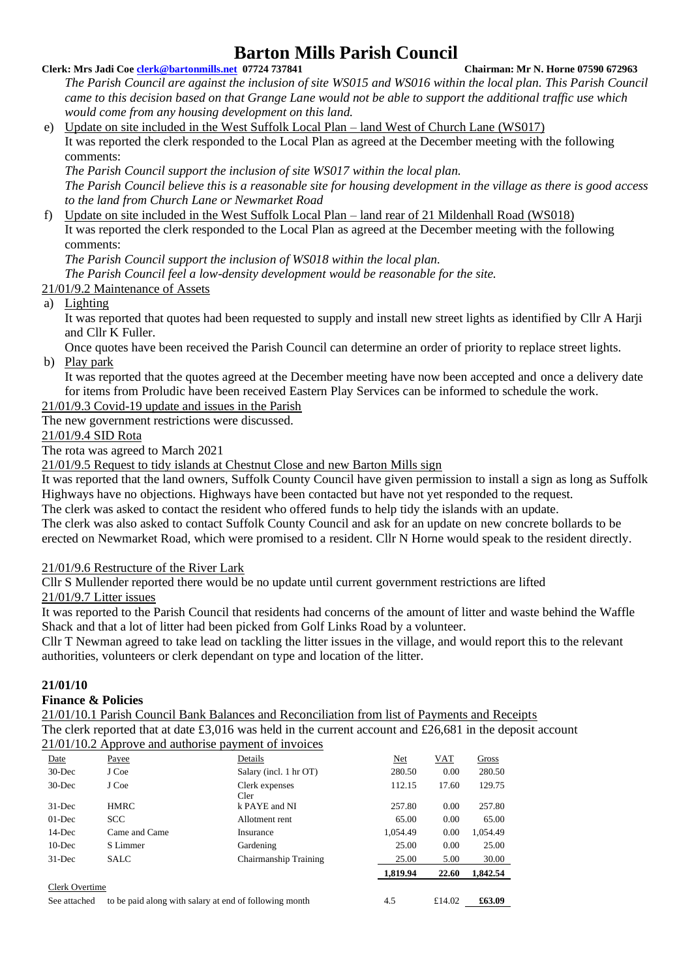#### **Clerk: Mrs Jadi Coe [clerk@bartonmills.net](mailto:clerk@bartonmills.net) 07724 737841 Chairman: Mr N. Horne 07590 672963**

*The Parish Council are against the inclusion of site WS015 and WS016 within the local plan. This Parish Council came to this decision based on that Grange Lane would not be able to support the additional traffic use which would come from any housing development on this land.*

e) Update on site included in the West Suffolk Local Plan – land West of Church Lane (WS017) It was reported the clerk responded to the Local Plan as agreed at the December meeting with the following comments:

*The Parish Council support the inclusion of site WS017 within the local plan. The Parish Council believe this is a reasonable site for housing development in the village as there is good access to the land from Church Lane or Newmarket Road* 

f) Update on site included in the West Suffolk Local Plan – land rear of 21 Mildenhall Road (WS018) It was reported the clerk responded to the Local Plan as agreed at the December meeting with the following comments:

*The Parish Council support the inclusion of WS018 within the local plan.* 

*The Parish Council feel a low-density development would be reasonable for the site.*

# 21/01/9.2 Maintenance of Assets

a) Lighting

It was reported that quotes had been requested to supply and install new street lights as identified by Cllr A Harji and Cllr K Fuller.

Once quotes have been received the Parish Council can determine an order of priority to replace street lights. b) Play park

It was reported that the quotes agreed at the December meeting have now been accepted and once a delivery date for items from Proludic have been received Eastern Play Services can be informed to schedule the work.

21/01/9.3 Covid-19 update and issues in the Parish

The new government restrictions were discussed.

21/01/9.4 SID Rota

The rota was agreed to March 2021

21/01/9.5 Request to tidy islands at Chestnut Close and new Barton Mills sign

It was reported that the land owners, Suffolk County Council have given permission to install a sign as long as Suffolk Highways have no objections. Highways have been contacted but have not yet responded to the request.

The clerk was asked to contact the resident who offered funds to help tidy the islands with an update.

The clerk was also asked to contact Suffolk County Council and ask for an update on new concrete bollards to be erected on Newmarket Road, which were promised to a resident. Cllr N Horne would speak to the resident directly.

21/01/9.6 Restructure of the River Lark

Cllr S Mullender reported there would be no update until current government restrictions are lifted

21/01/9.7 Litter issues

It was reported to the Parish Council that residents had concerns of the amount of litter and waste behind the Waffle Shack and that a lot of litter had been picked from Golf Links Road by a volunteer.

Cllr T Newman agreed to take lead on tackling the litter issues in the village, and would report this to the relevant authorities, volunteers or clerk dependant on type and location of the litter.

# **21/01/10**

# **Finance & Policies**

21/01/10.1 Parish Council Bank Balances and Reconciliation from list of Payments and Receipts The clerk reported that at date £3,016 was held in the current account and £26,681 in the deposit account 21/01/10.2 Approve and authorise payment of invoices

|                                                                        | $2.4\mu$ p $2.3\mu$ and $2.5\mu$ |                        |          |            |          |  |
|------------------------------------------------------------------------|----------------------------------|------------------------|----------|------------|----------|--|
| Date                                                                   | Payee                            | Details                | Net      | <b>VAT</b> | Gross    |  |
| $30$ -Dec                                                              | J Coe                            | Salary (incl. 1 hr OT) | 280.50   | 0.00       | 280.50   |  |
| $30$ -Dec                                                              | J Coe                            | Clerk expenses<br>Cler | 112.15   | 17.60      | 129.75   |  |
| $31$ -Dec                                                              | <b>HMRC</b>                      | k PAYE and NI          | 257.80   | 0.00       | 257.80   |  |
| $01$ -Dec                                                              | <b>SCC</b>                       | Allotment rent         | 65.00    | 0.00       | 65.00    |  |
| $14$ -Dec                                                              | Came and Came                    | Insurance              | 1.054.49 | 0.00       | 1.054.49 |  |
| $10$ -Dec                                                              | S Limmer                         | Gardening              | 25.00    | 0.00       | 25.00    |  |
| $31$ -Dec                                                              | <b>SALC</b>                      | Chairmanship Training  | 25.00    | 5.00       | 30.00    |  |
|                                                                        |                                  |                        | 1,819.94 | 22.60      | 1,842.54 |  |
| Clerk Overtime                                                         |                                  |                        |          |            |          |  |
| to be paid along with salary at end of following month<br>See attached |                                  |                        | 4.5      | £14.02     | £63.09   |  |